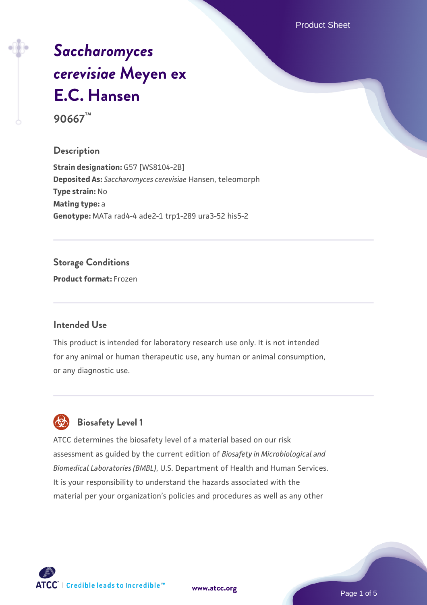Product Sheet

# *[Saccharomyces](https://www.atcc.org/products/90667) [cerevisiae](https://www.atcc.org/products/90667)* **[Meyen ex](https://www.atcc.org/products/90667) [E.C. Hansen](https://www.atcc.org/products/90667)**

**90667™**

#### **Description**

**Strain designation: G57 [WS8104-2B] Deposited As:** *Saccharomyces cerevisiae* Hansen, teleomorph **Type strain:** No **Mating type:** a **Genotype:** MATa rad4-4 ade2-1 trp1-289 ura3-52 his5-2

#### **Storage Conditions**

**Product format:** Frozen

#### **Intended Use**

This product is intended for laboratory research use only. It is not intended for any animal or human therapeutic use, any human or animal consumption, or any diagnostic use.



### **Biosafety Level 1**

ATCC determines the biosafety level of a material based on our risk assessment as guided by the current edition of *Biosafety in Microbiological and Biomedical Laboratories (BMBL)*, U.S. Department of Health and Human Services. It is your responsibility to understand the hazards associated with the material per your organization's policies and procedures as well as any other

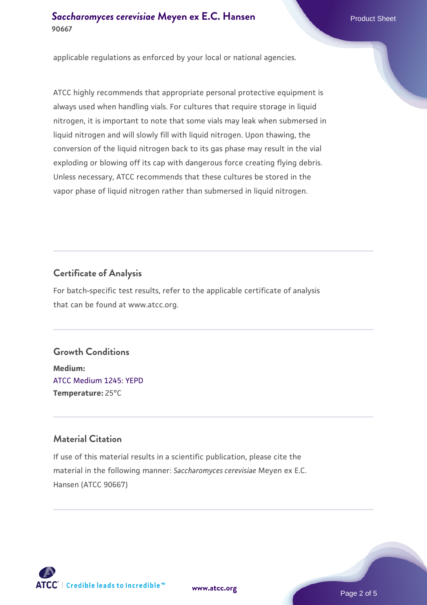#### **[Saccharomyces cerevisiae](https://www.atcc.org/products/90667)** [Meyen ex E.C. Hansen](https://www.atcc.org/products/90667) **90667**

applicable regulations as enforced by your local or national agencies.

ATCC highly recommends that appropriate personal protective equipment is always used when handling vials. For cultures that require storage in liquid nitrogen, it is important to note that some vials may leak when submersed in liquid nitrogen and will slowly fill with liquid nitrogen. Upon thawing, the conversion of the liquid nitrogen back to its gas phase may result in the vial exploding or blowing off its cap with dangerous force creating flying debris. Unless necessary, ATCC recommends that these cultures be stored in the vapor phase of liquid nitrogen rather than submersed in liquid nitrogen.

#### **Certificate of Analysis**

For batch-specific test results, refer to the applicable certificate of analysis that can be found at www.atcc.org.

#### **Growth Conditions**

**Medium:**  [ATCC Medium 1245: YEPD](https://www.atcc.org/-/media/product-assets/documents/microbial-media-formulations/1/2/4/5/atcc-medium-1245.pdf?rev=705ca55d1b6f490a808a965d5c072196) **Temperature:** 25°C

#### **Material Citation**

If use of this material results in a scientific publication, please cite the material in the following manner: *Saccharomyces cerevisiae* Meyen ex E.C. Hansen (ATCC 90667)



**[www.atcc.org](http://www.atcc.org)**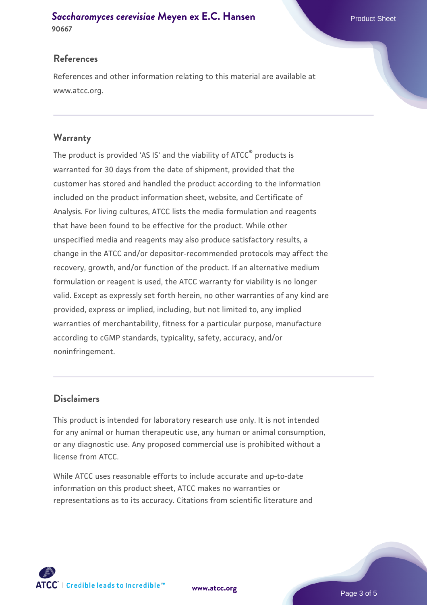#### **[Saccharomyces cerevisiae](https://www.atcc.org/products/90667)** [Meyen ex E.C. Hansen](https://www.atcc.org/products/90667) **90667**

#### **References**

References and other information relating to this material are available at www.atcc.org.

#### **Warranty**

The product is provided 'AS IS' and the viability of ATCC® products is warranted for 30 days from the date of shipment, provided that the customer has stored and handled the product according to the information included on the product information sheet, website, and Certificate of Analysis. For living cultures, ATCC lists the media formulation and reagents that have been found to be effective for the product. While other unspecified media and reagents may also produce satisfactory results, a change in the ATCC and/or depositor-recommended protocols may affect the recovery, growth, and/or function of the product. If an alternative medium formulation or reagent is used, the ATCC warranty for viability is no longer valid. Except as expressly set forth herein, no other warranties of any kind are provided, express or implied, including, but not limited to, any implied warranties of merchantability, fitness for a particular purpose, manufacture according to cGMP standards, typicality, safety, accuracy, and/or noninfringement.

#### **Disclaimers**

This product is intended for laboratory research use only. It is not intended for any animal or human therapeutic use, any human or animal consumption, or any diagnostic use. Any proposed commercial use is prohibited without a license from ATCC.

While ATCC uses reasonable efforts to include accurate and up-to-date information on this product sheet, ATCC makes no warranties or representations as to its accuracy. Citations from scientific literature and



**[www.atcc.org](http://www.atcc.org)**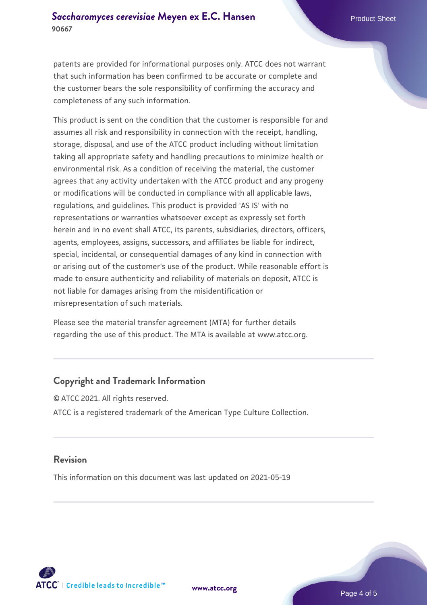patents are provided for informational purposes only. ATCC does not warrant that such information has been confirmed to be accurate or complete and the customer bears the sole responsibility of confirming the accuracy and completeness of any such information.

This product is sent on the condition that the customer is responsible for and assumes all risk and responsibility in connection with the receipt, handling, storage, disposal, and use of the ATCC product including without limitation taking all appropriate safety and handling precautions to minimize health or environmental risk. As a condition of receiving the material, the customer agrees that any activity undertaken with the ATCC product and any progeny or modifications will be conducted in compliance with all applicable laws, regulations, and guidelines. This product is provided 'AS IS' with no representations or warranties whatsoever except as expressly set forth herein and in no event shall ATCC, its parents, subsidiaries, directors, officers, agents, employees, assigns, successors, and affiliates be liable for indirect, special, incidental, or consequential damages of any kind in connection with or arising out of the customer's use of the product. While reasonable effort is made to ensure authenticity and reliability of materials on deposit, ATCC is not liable for damages arising from the misidentification or misrepresentation of such materials.

Please see the material transfer agreement (MTA) for further details regarding the use of this product. The MTA is available at www.atcc.org.

#### **Copyright and Trademark Information**

© ATCC 2021. All rights reserved. ATCC is a registered trademark of the American Type Culture Collection.

#### **Revision**

This information on this document was last updated on 2021-05-19



**[www.atcc.org](http://www.atcc.org)**

Page 4 of 5